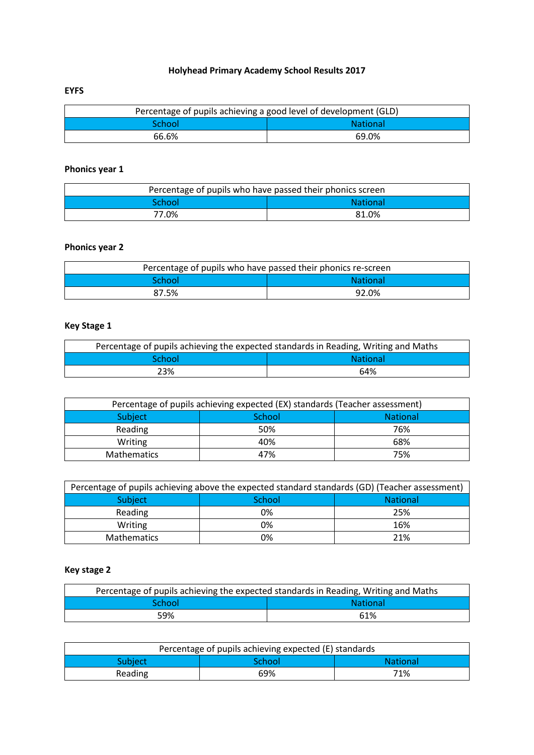# **Holyhead Primary Academy School Results 2017**

#### **EYFS**

| Percentage of pupils achieving a good level of development (GLD) |       |  |
|------------------------------------------------------------------|-------|--|
| <b>National</b><br><b>School</b>                                 |       |  |
| 66.6%                                                            | 69.0% |  |

# **Phonics year 1**

| Percentage of pupils who have passed their phonics screen |       |  |
|-----------------------------------------------------------|-------|--|
| <b>National</b><br><b>School</b>                          |       |  |
| 77.0%                                                     | 81.0% |  |

### **Phonics year 2**

| Percentage of pupils who have passed their phonics re-screen |                 |  |
|--------------------------------------------------------------|-----------------|--|
| School:                                                      | <b>National</b> |  |
| 87.5%                                                        | 92.0%           |  |

# **Key Stage 1**

| Percentage of pupils achieving the expected standards in Reading, Writing and Maths |     |  |
|-------------------------------------------------------------------------------------|-----|--|
| <b>School</b><br><b>National</b>                                                    |     |  |
| 23%                                                                                 | 64% |  |

| Percentage of pupils achieving expected (EX) standards (Teacher assessment) |        |                 |
|-----------------------------------------------------------------------------|--------|-----------------|
| Subject                                                                     | School | <b>National</b> |
| Reading                                                                     | 50%    | 76%             |
| Writing                                                                     | 40%    | 68%             |
| <b>Mathematics</b>                                                          | 47%    | 75%             |

| Percentage of pupils achieving above the expected standard standards (GD) (Teacher assessment) |        |                 |
|------------------------------------------------------------------------------------------------|--------|-----------------|
| Subject                                                                                        | School | <b>National</b> |
| Reading                                                                                        | 0%     | 25%             |
| Writing                                                                                        | 0%     | 16%             |
| Mathematics                                                                                    | 0%     | 21%             |

# **Key stage 2**

| Percentage of pupils achieving the expected standards in Reading, Writing and Maths |     |  |
|-------------------------------------------------------------------------------------|-----|--|
| <b>National</b><br>School                                                           |     |  |
| 59%                                                                                 | 61% |  |

| Percentage of pupils achieving expected (E) standards |        |                 |
|-------------------------------------------------------|--------|-----------------|
| Subject <sup>'</sup>                                  | School | <b>National</b> |
| Reading                                               | 69%    | 71%             |